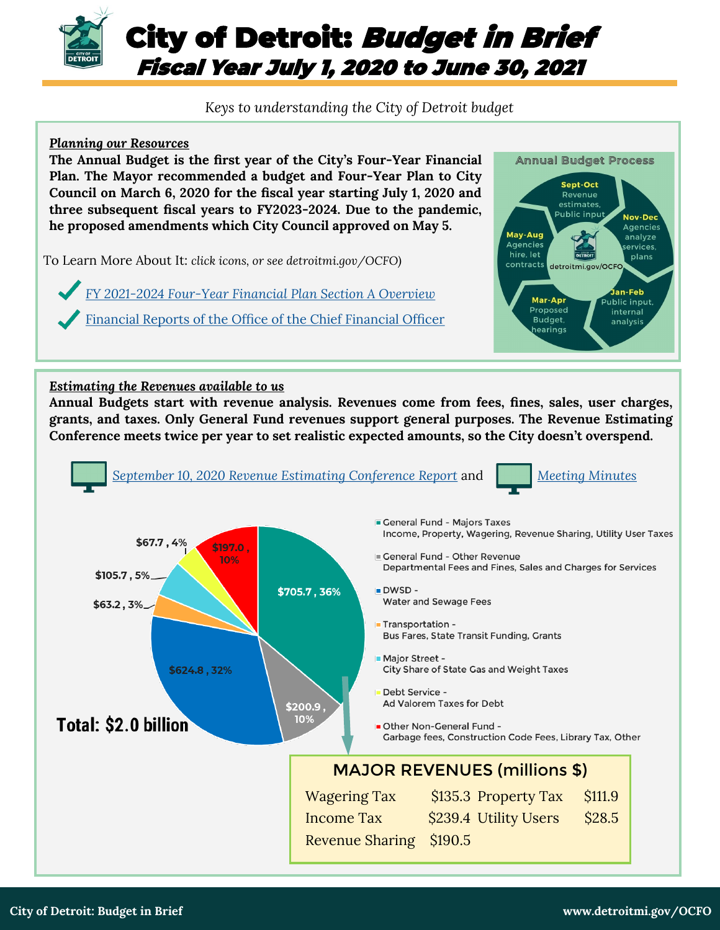

# *Keys to understanding the City of Detroit budget*

### *Planning our Resources*

**The Annual Budget is the first year of the City's Four-Year Financial Plan. The Mayor recommended a budget and Four-Year Plan to City Council on March 6, 2020 for the fiscal year starting July 1, 2020 and three subsequent fiscal years to FY2023-2024. Due to the pandemic, he proposed amendments which City Council approved on May 5.**

To Learn More About It: *click icons, or see detroitmi.gov/OCFO)*

*FY 2021-2024 Four-[Year Financial Plan Section A Overview](https://detroitmi.gov/sites/detroitmi.localhost/files/2020-06/1%20-%20FY%202021-24%20Four-Year%20Financial%20Plan%20-%20Section%20A%20Overview%20-%20Adopted_1.pdf)*

[Financial Reports of the Office of the Chief Financial Officer](https://detroitmi.gov/departments/office-chief-financial-officer/financial-reports)



#### *Estimating the Revenues available to us*

**Annual Budgets start with revenue analysis. Revenues come from fees, fines, sales, user charges, grants, and taxes. Only General Fund revenues support general purposes. The Revenue Estimating Conference meets twice per year to set realistic expected amounts, so the City doesn't overspend.**